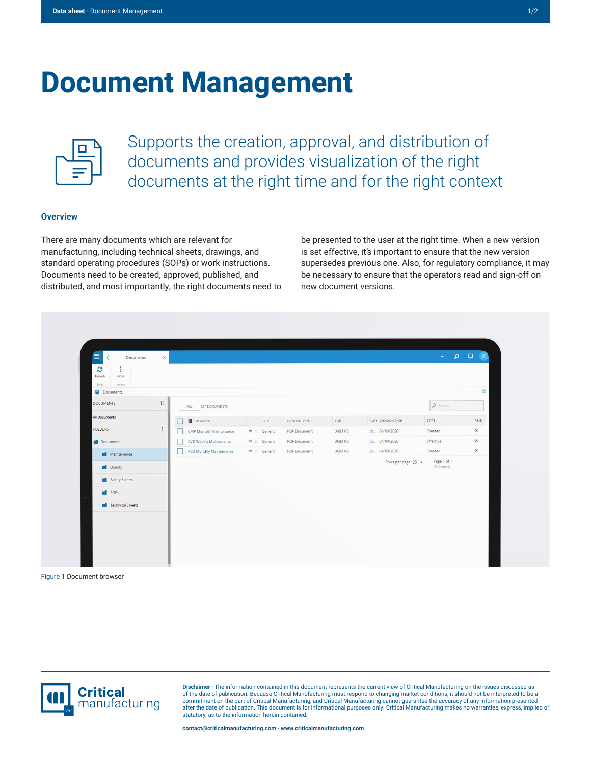# **Document Management**



Supports the creation, approval, and distribution of documents and provides visualization of the right documents at the right time and for the right context

## **Overview**

There are many documents which are relevant for manufacturing, including technical sheets, drawings, and standard operating procedures (SOPs) or work instructions. Documents need to be created, approved, published, and distributed, and most importantly, the right documents need to be presented to the user at the right time. When a new version is set effective, it's important to ensure that the new version supersedes previous one. Also, for regulatory compliance, it may be necessary to ensure that the operators read and sign-off on new document versions.

| Ξ<br>Documents                       | $\times$    |                                |                         |                     |         |                       | $\bullet \quad \rho \quad \Box \quad \rho$ |                                   |
|--------------------------------------|-------------|--------------------------------|-------------------------|---------------------|---------|-----------------------|--------------------------------------------|-----------------------------------|
| G<br>÷                               |             |                                |                         |                     |         |                       |                                            |                                   |
| Refresh<br>More<br>Actions<br>Entity |             |                                |                         |                     |         |                       |                                            |                                   |
| Documents                            |             |                                |                         |                     |         |                       |                                            | $\Box$                            |
| <b>DOCUMENTS</b>                     | $\boxtimes$ | ALL MY DOCUMENTS               |                         |                     |         |                       | $\n  Search\n$                             |                                   |
|                                      |             |                                |                         |                     |         |                       |                                            |                                   |
| <b>All Documents</b>                 |             | DOCUMENT                       | TYPE                    | CONTENT TYPE        | SIZE    | AUTH CREATION DATE    | STATE                                      | READ                              |
| FOLDERS                              | ÷.          | <b>CMP Monthly Maintenance</b> | $\bullet \pm$ Generic   | PDF Document        | 3683 KB | Jo 04/09/2020         | Created                                    | $\boldsymbol{\times}$             |
| Documents                            |             | CVD Weekly Maintenance         | $\bullet \perp$ Generic | PDF Document        | 3683 KB | Jo 04/09/2020         | Effective                                  | $\times$                          |
| Maintenance                          |             | PVD Monthly Maintenance        | $\bullet \pm$ Generic   | <b>PDF</b> Document | 3683 KB | Jo 04/09/2020         | Created                                    | $\times$                          |
| Quality                              |             |                                |                         |                     |         | Rows per page: $25 -$ | Page 1 of 1<br>(3 records)                 | $\left\langle \cdot\right\rangle$ |
|                                      |             |                                |                         |                     |         |                       |                                            |                                   |
| Safety Sheets                        |             |                                |                         |                     |         |                       |                                            |                                   |
| SOPs                                 |             |                                |                         |                     |         |                       |                                            |                                   |
| Technical Sheets                     |             |                                |                         |                     |         |                       |                                            |                                   |
|                                      |             |                                |                         |                     |         |                       |                                            |                                   |
|                                      |             |                                |                         |                     |         |                       |                                            |                                   |
|                                      |             |                                |                         |                     |         |                       |                                            |                                   |

Figure 1 Document browser



**Disclaimer** · The information contained in this document represents the current view of Critical Manufacturing on the issues discussed as of the date of publication. Because Critical Manufacturing must respond to changing market conditions, it should not be interpreted to be a<br>commitment on the part of Critical Manufacturing, and Critical Manufacturing canno statutory, as to the information herein contained.